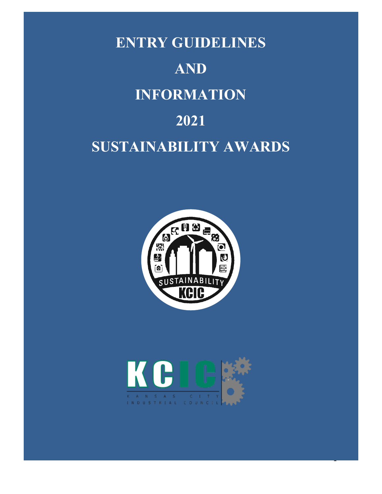





1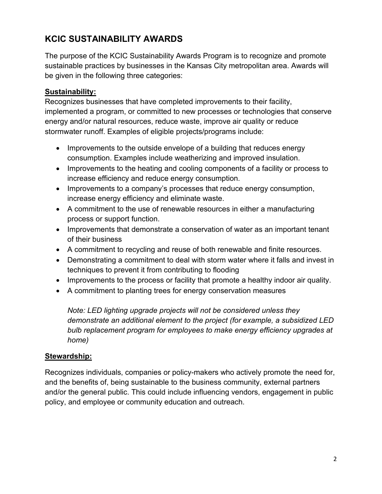# **KCIC SUSTAINABILITY AWARDS**

The purpose of the KCIC Sustainability Awards Program is to recognize and promote sustainable practices by businesses in the Kansas City metropolitan area. Awards will be given in the following three categories:

#### **Sustainability:**

Recognizes businesses that have completed improvements to their facility, implemented a program, or committed to new processes or technologies that conserve energy and/or natural resources, reduce waste, improve air quality or reduce stormwater runoff. Examples of eligible projects/programs include:

- Improvements to the outside envelope of a building that reduces energy consumption. Examples include weatherizing and improved insulation.
- Improvements to the heating and cooling components of a facility or process to increase efficiency and reduce energy consumption.
- Improvements to a company's processes that reduce energy consumption, increase energy efficiency and eliminate waste.
- A commitment to the use of renewable resources in either a manufacturing process or support function.
- Improvements that demonstrate a conservation of water as an important tenant of their business
- A commitment to recycling and reuse of both renewable and finite resources.
- Demonstrating a commitment to deal with storm water where it falls and invest in techniques to prevent it from contributing to flooding
- Improvements to the process or facility that promote a healthy indoor air quality.
- A commitment to planting trees for energy conservation measures

*Note: LED lighting upgrade projects will not be considered unless they demonstrate an additional element to the project (for example, a subsidized LED bulb replacement program for employees to make energy efficiency upgrades at home)* 

#### **Stewardship:**

Recognizes individuals, companies or policy-makers who actively promote the need for, and the benefits of, being sustainable to the business community, external partners and/or the general public. This could include influencing vendors, engagement in public policy, and employee or community education and outreach.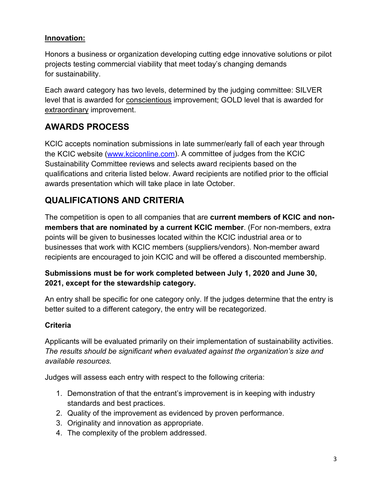#### **Innovation:**

Honors a business or organization developing cutting edge innovative solutions or pilot projects testing commercial viability that meet today's changing demands for sustainability.

Each award category has two levels, determined by the judging committee: SILVER level that is awarded for conscientious improvement; GOLD level that is awarded for extraordinary improvement.

### **AWARDS PROCESS**

KCIC accepts nomination submissions in late summer/early fall of each year through the KCIC website [\(www.kciconline.com\)](http://www.kciconline.com/). A committee of judges from the KCIC Sustainability Committee reviews and selects award recipients based on the qualifications and criteria listed below. Award recipients are notified prior to the official awards presentation which will take place in late October.

# **QUALIFICATIONS AND CRITERIA**

The competition is open to all companies that are **current members of KCIC and nonmembers that are nominated by a current KCIC member**. (For non-members, extra points will be given to businesses located within the KCIC industrial area or to businesses that work with KCIC members (suppliers/vendors). Non-member award recipients are encouraged to join KCIC and will be offered a discounted membership.

### **Submissions must be for work completed between July 1, 2020 and June 30, 2021, except for the stewardship category.**

An entry shall be specific for one category only. If the judges determine that the entry is better suited to a different category, the entry will be recategorized.

### **Criteria**

Applicants will be evaluated primarily on their implementation of sustainability activities. *The results should be significant when evaluated against the organization's size and available resources.*

Judges will assess each entry with respect to the following criteria:

- 1. Demonstration of that the entrant's improvement is in keeping with industry standards and best practices.
- 2. Quality of the improvement as evidenced by proven performance.
- 3. Originality and innovation as appropriate.
- 4. The complexity of the problem addressed.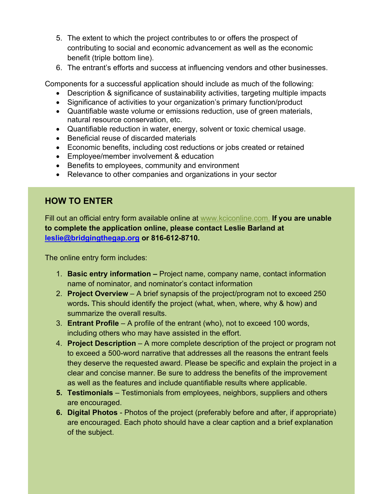- 5. The extent to which the project contributes to or offers the prospect of contributing to social and economic advancement as well as the economic benefit (triple bottom line).
- 6. The entrant's efforts and success at influencing vendors and other businesses.

Components for a successful application should include as much of the following:

- Description & significance of sustainability activities, targeting multiple impacts
- Significance of activities to your organization's primary function/product
- Quantifiable waste volume or emissions reduction, use of green materials, natural resource conservation, etc.
- Quantifiable reduction in water, energy, solvent or toxic chemical usage.
- Beneficial reuse of discarded materials
- Economic benefits, including cost reductions or jobs created or retained
- Employee/member involvement & education
- Benefits to employees, community and environment
- Relevance to other companies and organizations in your sector

### **HOW TO ENTER**

Fill out an official entry form available online at [www.kciconline.com.](http://www.kciconline.com/) **If you are unable to complete the application online, please contact Leslie Barland at [leslie@bridgingthegap.org](mailto:leslie@bridgingthegap.org) or 816-612-8710.**

The online entry form includes:

- 1. **Basic entry information –** Project name, company name, contact information name of nominator, and nominator's contact information
- 2. **Project Overview**  A brief synapsis of the project/program not to exceed 250 words**.** This should identify the project (what, when, where, why & how) and summarize the overall results.
- 3. **Entrant Profile** A profile of the entrant (who), not to exceed 100 words, including others who may have assisted in the effort.
- 4. **Project Description** A more complete description of the project or program not to exceed a 500-word narrative that addresses all the reasons the entrant feels they deserve the requested award. Please be specific and explain the project in a clear and concise manner. Be sure to address the benefits of the improvement as well as the features and include quantifiable results where applicable.
- **5. Testimonials**  Testimonials from employees, neighbors, suppliers and others are encouraged.
- **6. Digital Photos**  Photos of the project (preferably before and after, if appropriate) are encouraged. Each photo should have a clear caption and a brief explanation of the subject.